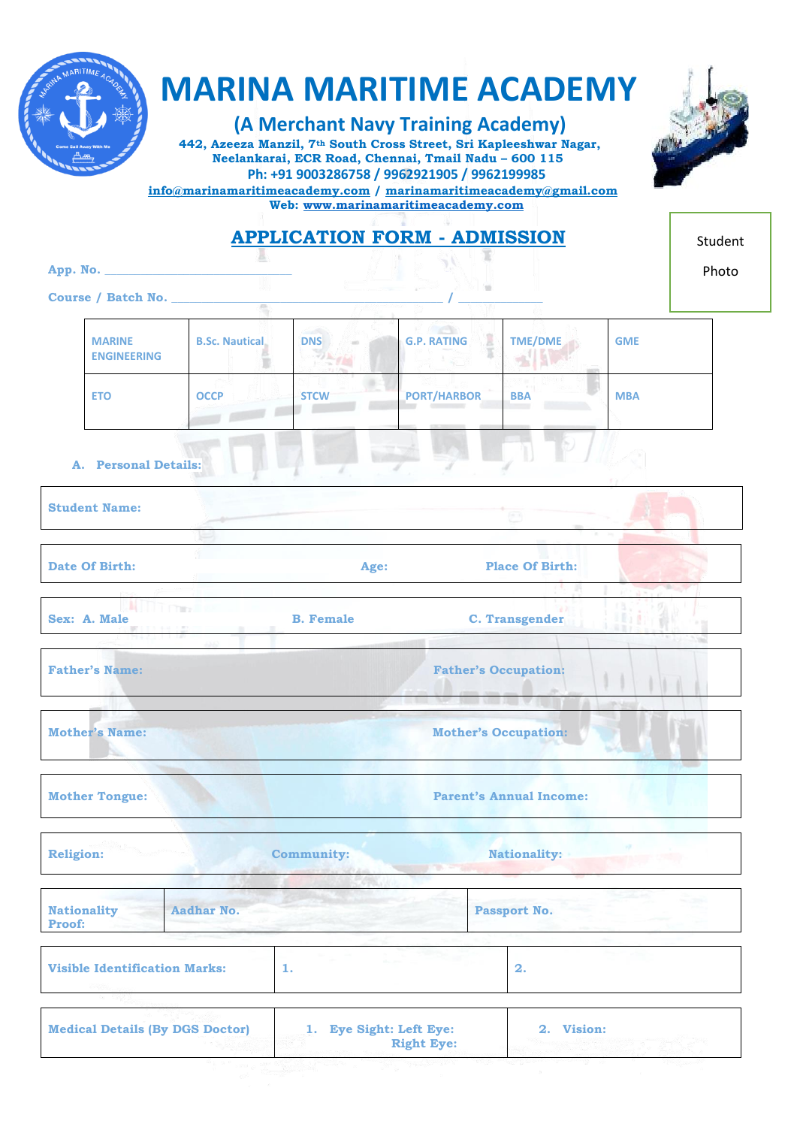

# **MARINA MARITIME ACADEMY**

 **(A Merchant Navy Training Academy)**

 **442, Azeeza Manzil, 7th South Cross Street, Sri Kapleeshwar Nagar, Neelankarai, ECR Road, Chennai, Tmail Nadu – 600 115 Ph: +91 9003286758 / 9962921905 / 9962199985** 



| $\frac{1}{100}$ info@marinamaritimeacademy.com / marinamaritimeacademy@gmail.com<br>Web: www.marinamaritimeacademy.com |                                                                                                      |                              |                                     |                                                                                                                                                 |                                |         |
|------------------------------------------------------------------------------------------------------------------------|------------------------------------------------------------------------------------------------------|------------------------------|-------------------------------------|-------------------------------------------------------------------------------------------------------------------------------------------------|--------------------------------|---------|
|                                                                                                                        |                                                                                                      |                              | <b>APPLICATION FORM - ADMISSION</b> |                                                                                                                                                 |                                | Student |
|                                                                                                                        |                                                                                                      |                              |                                     |                                                                                                                                                 |                                | Photo   |
|                                                                                                                        |                                                                                                      | Course / Batch No.           |                                     | <u>e a matematik di Mi</u><br>30                                                                                                                |                                |         |
|                                                                                                                        |                                                                                                      |                              |                                     |                                                                                                                                                 |                                |         |
|                                                                                                                        | <b>MARINE</b><br><b>ENGINEERING</b>                                                                  | <b>B.Sc. Nautical.</b>       | $DNS =$                             | $\label{eq:3.1} \mathcal{F} = \mathcal{F} \left( \mathcal{F} \right) \otimes \mathcal{F} \left( \mathcal{F} \right)$<br><b>G.P. RATING</b><br>ा | <b>TME/DME</b><br><b>GME</b>   |         |
|                                                                                                                        | <b>ETO</b>                                                                                           | <b>OCCP</b>                  | <b>STCW</b>                         | <b>PORT/HARBOR</b>                                                                                                                              | <b>BBA</b><br><b>MBA</b>       |         |
|                                                                                                                        | A. Personal Details:                                                                                 |                              |                                     |                                                                                                                                                 |                                |         |
|                                                                                                                        | <b>Student Name:</b>                                                                                 |                              |                                     |                                                                                                                                                 | $10 - 15$                      |         |
|                                                                                                                        | <b>Date Of Birth:</b>                                                                                |                              | Age:                                |                                                                                                                                                 | <b>Place Of Birth:</b>         |         |
|                                                                                                                        | Sex: A. Male<br>44 MARAD<br>Maritim Maradon                                                          | <b>EN DIT FINAL CONTRACT</b> | <b>B.</b> Female                    |                                                                                                                                                 | <b>C. Transgender</b>          |         |
|                                                                                                                        | <b>Father's Name:</b>                                                                                |                              |                                     | <b>Father's Occupation:</b>                                                                                                                     |                                |         |
|                                                                                                                        | <b>Mother's Name:</b>                                                                                |                              |                                     | <b>New American Property</b><br><b>Mother's Occupation:</b>                                                                                     |                                |         |
|                                                                                                                        | <b>Mother Tongue:</b>                                                                                |                              |                                     |                                                                                                                                                 | <b>Parent's Annual Income:</b> |         |
| <b>Religion:</b>                                                                                                       |                                                                                                      |                              | <b>Community:</b>                   |                                                                                                                                                 | <b>Nationality:</b>            | ng Tr   |
| Proof:                                                                                                                 | <b>Nationality</b>                                                                                   | <b>Aadhar No.</b>            |                                     |                                                                                                                                                 | <b>Passport No.</b>            |         |
|                                                                                                                        | <b>Visible Identification Marks:</b>                                                                 |                              | 1.                                  |                                                                                                                                                 | 2.                             |         |
|                                                                                                                        | 1. Eye Sight: Left Eye:<br><b>Medical Details (By DGS Doctor)</b><br>2. Vision:<br><b>Right Eye:</b> |                              |                                     |                                                                                                                                                 |                                |         |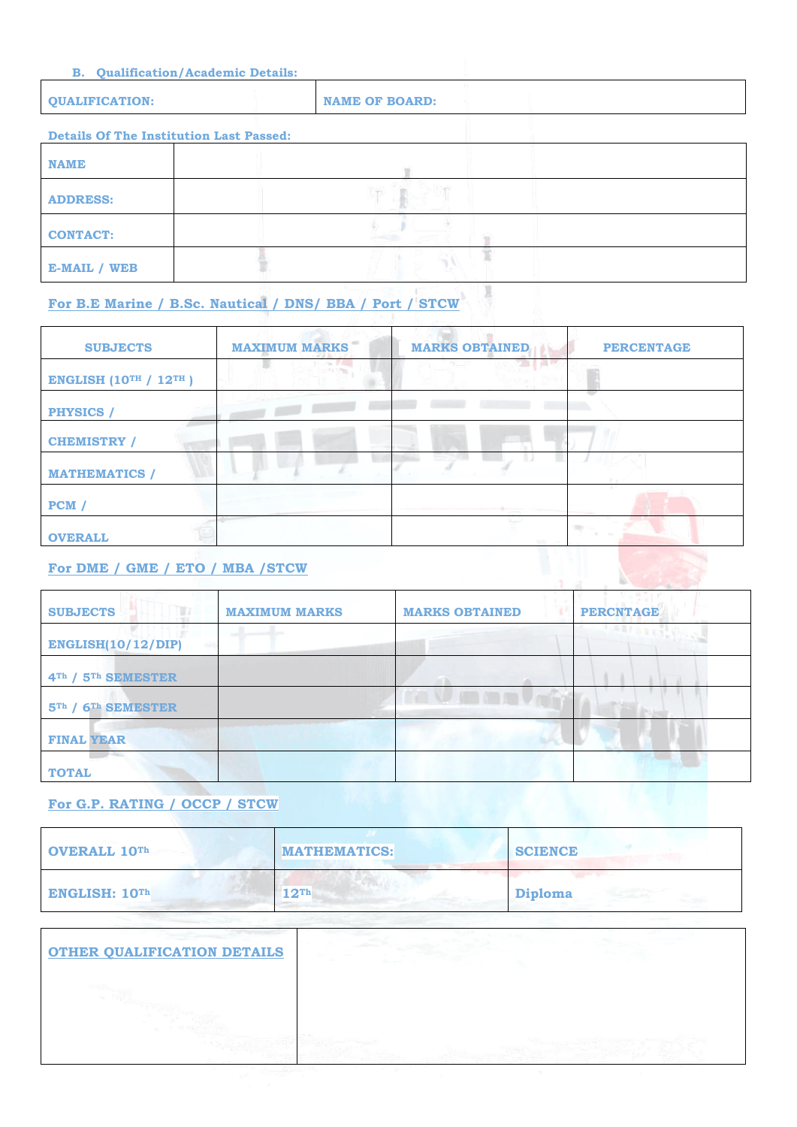| <b>B.</b> Qualification/Academic Details:      |                       |  |
|------------------------------------------------|-----------------------|--|
| <b>QUALIFICATION:</b>                          | <b>NAME OF BOARD:</b> |  |
| <b>Details Of The Institution Last Passed:</b> |                       |  |
| <b>NAME</b>                                    |                       |  |
| <b>ADDRESS:</b>                                |                       |  |
| <b>CONTACT:</b>                                |                       |  |

 $\mathcal{A}$ 

 $\mathbb{R}$ 

 $\mathbf{A}$ 

### **For B.E Marine / B.Sc. Nautical / DNS/ BBA / Port / STCW**

H

| <b>SUBJECTS</b>                  | <b>MAXIMUM MARKS</b> | <b>MARKS OBTAINED</b> | <b>PERCENTAGE</b> |
|----------------------------------|----------------------|-----------------------|-------------------|
| <b>ENGLISH (10TH / 12TH)</b>     |                      |                       |                   |
| <b>PHYSICS</b> /                 |                      |                       |                   |
| <b>CHEMISTRY /</b>               |                      |                       |                   |
| <b>MATHEMATICS</b> /             |                      |                       |                   |
| PCM /                            |                      |                       |                   |
| <b>OVERALL</b>                   |                      |                       |                   |
| For DME / GME / ETO / MBA / STCW |                      |                       |                   |

#### **For DME / GME / ETO / MBA /STCW**

**E-MAIL / WEB**

| TITT<br><b>SUBJECTS</b><br><b>MAXIMUM MARKS</b> | <b>MARKS OBTAINED</b> | <b>PERCNTAGE</b> |
|-------------------------------------------------|-----------------------|------------------|
| <b>ENGLISH(10/12/DIP)</b>                       |                       |                  |
| 4 <sup>Th</sup> / 5 <sup>Th</sup> SEMESTER      |                       |                  |
| $5Th$ /<br>6 <sup>Th</sup> SEMESTER             | <b>ALLEN SERVICE</b>  |                  |
| <b>FINAL YEAR</b>                               |                       |                  |
| <b>TOTAL</b>                                    |                       |                  |

#### **For G.P. RATING / OCCP / STCW**

| OVERALL 10Th  | <b>MATHEMATICS:</b> | <b>SCIENCE</b> |
|---------------|---------------------|----------------|
| ENGLISH: 10Th | 12 <sup>Th</sup>    | Diploma        |

| <b>OTHER QUALIFICATION DETAILS</b> |  |
|------------------------------------|--|
|                                    |  |
|                                    |  |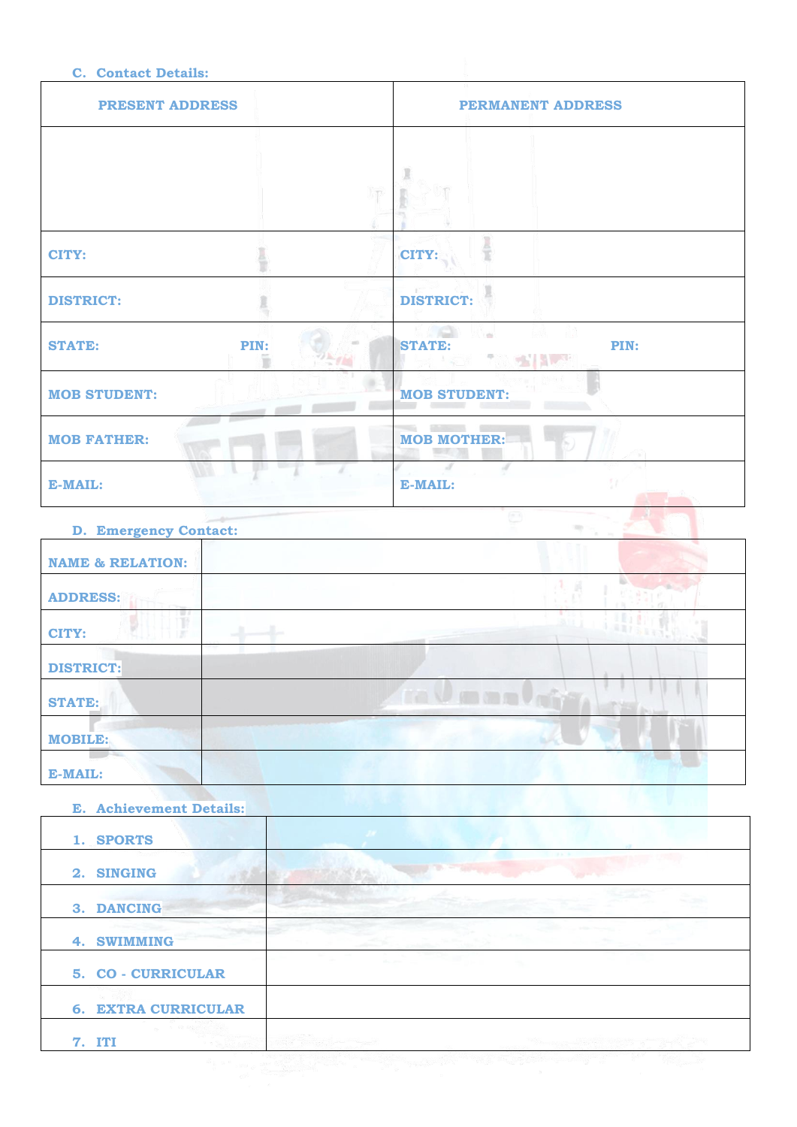#### **C. Contact Details:**

| <b>PRESENT ADDRESS</b> |      | <b>PERMANENT ADDRESS</b>                     |
|------------------------|------|----------------------------------------------|
|                        |      |                                              |
|                        |      |                                              |
|                        |      |                                              |
| CITY:                  |      | CITY:                                        |
| <b>DISTRICT:</b>       |      | <b>DISTRICT:</b>                             |
| <b>STATE:</b>          | PIN: | PIN:<br><b>STATE:</b><br>P.<br><b>CHELAN</b> |
| <b>MOB STUDENT:</b>    |      | <b>MOB STUDENT:</b>                          |
| <b>MOB FATHER:</b>     |      | <b>MOB MOTHER:</b><br>n.,                    |
| E-MAIL:                |      | E-MAIL:                                      |

| <b>D. Emergency Contact:</b> |              |
|------------------------------|--------------|
| <b>NAME &amp; RELATION:</b>  |              |
| <b>ADDRESS:</b>              |              |
| ę,<br>CITY:                  |              |
| <b>DISTRICT:</b>             |              |
| <b>STATE:</b>                | ra V manufra |
| <b>MOBILE:</b>               |              |
| E-MAIL:                      |              |

| <b>E. Achievement Details:</b> |  |
|--------------------------------|--|
| 1. SPORTS                      |  |
| 2. SINGING                     |  |
| 3. DANCING                     |  |
| 4. SWIMMING                    |  |
| 5. CO - CURRICULAR             |  |
| <b>6. EXTRA CURRICULAR</b>     |  |
| <b>7. ITI</b>                  |  |